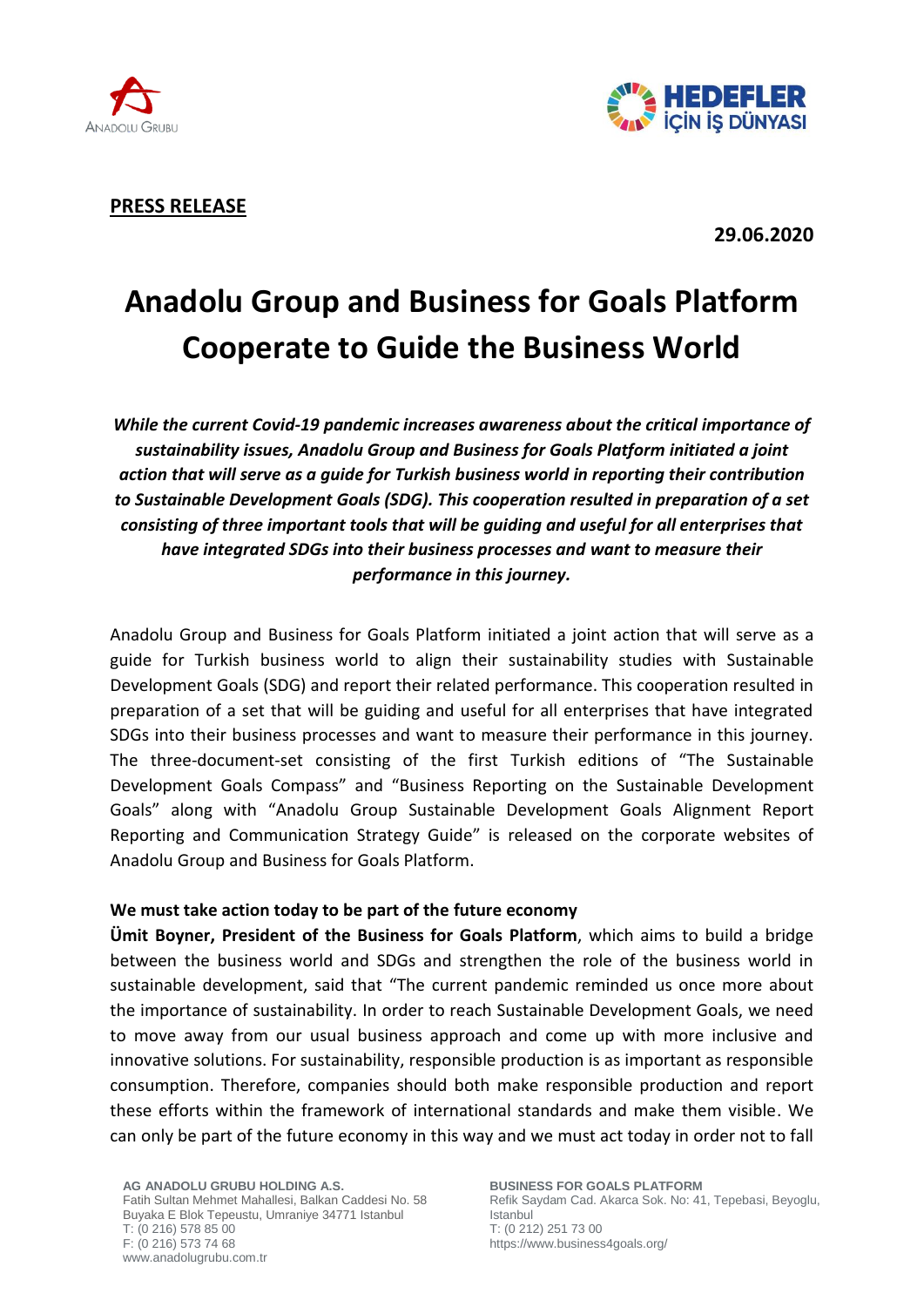



**PRESS RELEASE**

**29.06.2020**

# **Anadolu Group and Business for Goals Platform Cooperate to Guide the Business World**

*While the current Covid-19 pandemic increases awareness about the critical importance of sustainability issues, Anadolu Group and Business for Goals Platform initiated a joint action that will serve as a guide for Turkish business world in reporting their contribution to Sustainable Development Goals (SDG). This cooperation resulted in preparation of a set consisting of three important tools that will be guiding and useful for all enterprises that have integrated SDGs into their business processes and want to measure their performance in this journey.*

Anadolu Group and Business for Goals Platform initiated a joint action that will serve as a guide for Turkish business world to align their sustainability studies with Sustainable Development Goals (SDG) and report their related performance. This cooperation resulted in preparation of a set that will be guiding and useful for all enterprises that have integrated SDGs into their business processes and want to measure their performance in this journey. The three-document-set consisting of the first Turkish editions of "The Sustainable Development Goals Compass" and "Business Reporting on the Sustainable Development Goals" along with "Anadolu Group Sustainable Development Goals Alignment Report Reporting and Communication Strategy Guide" is released on the corporate websites of Anadolu Group and Business for Goals Platform.

# **We must take action today to be part of the future economy**

**Ümit Boyner, President of the Business for Goals Platform**, which aims to build a bridge between the business world and SDGs and strengthen the role of the business world in sustainable development, said that "The current pandemic reminded us once more about the importance of sustainability. In order to reach Sustainable Development Goals, we need to move away from our usual business approach and come up with more inclusive and innovative solutions. For sustainability, responsible production is as important as responsible consumption. Therefore, companies should both make responsible production and report these efforts within the framework of international standards and make them visible. We can only be part of the future economy in this way and we must act today in order not to fall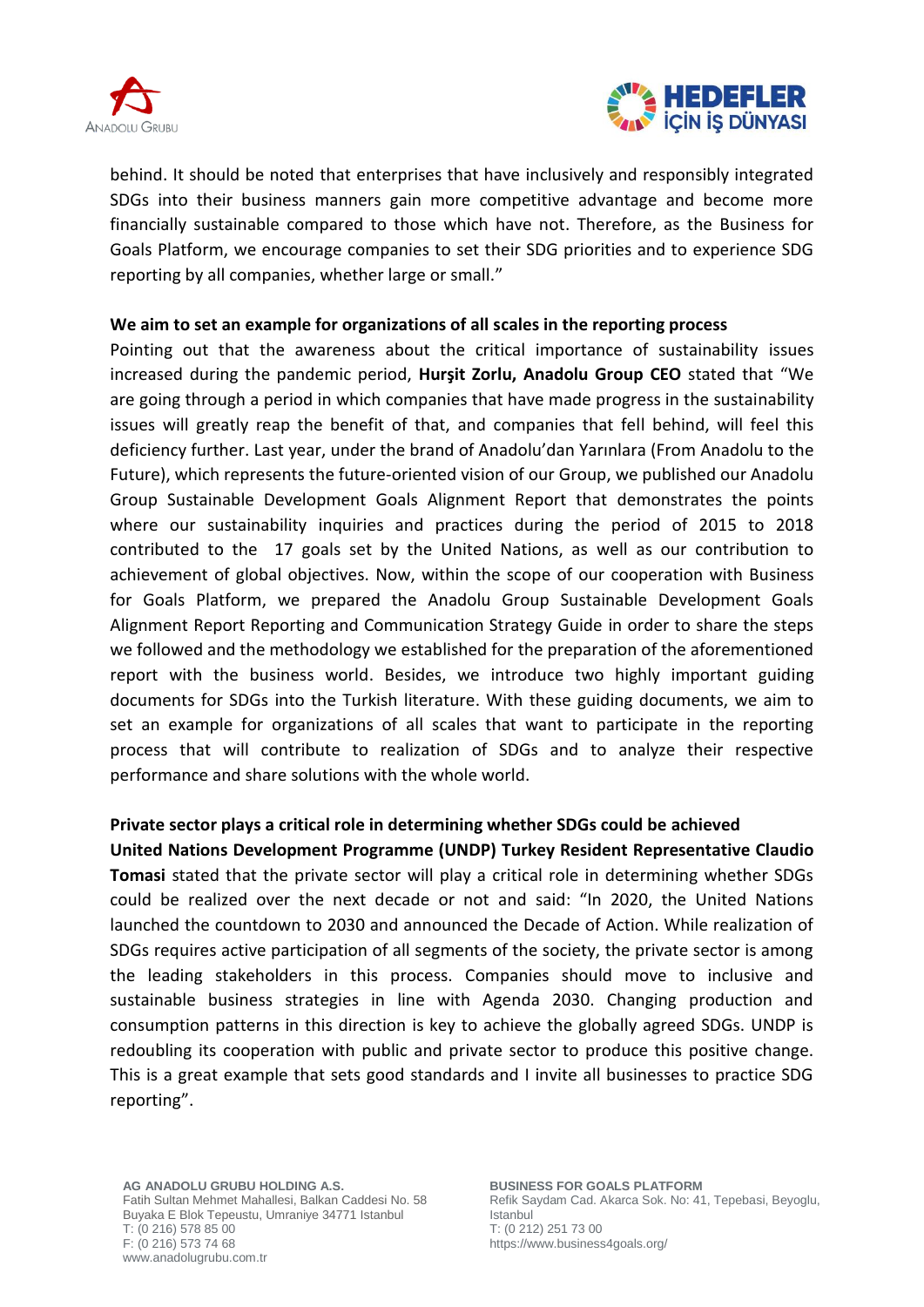



behind. It should be noted that enterprises that have inclusively and responsibly integrated SDGs into their business manners gain more competitive advantage and become more financially sustainable compared to those which have not. Therefore, as the Business for Goals Platform, we encourage companies to set their SDG priorities and to experience SDG reporting by all companies, whether large or small."

# **We aim to set an example for organizations of all scales in the reporting process**

Pointing out that the awareness about the critical importance of sustainability issues increased during the pandemic period, **Hurşit Zorlu, Anadolu Group CEO** stated that "We are going through a period in which companies that have made progress in the sustainability issues will greatly reap the benefit of that, and companies that fell behind, will feel this deficiency further. Last year, under the brand of Anadolu'dan Yarınlara (From Anadolu to the Future), which represents the future-oriented vision of our Group, we published our Anadolu Group Sustainable Development Goals Alignment Report that demonstrates the points where our sustainability inquiries and practices during the period of 2015 to 2018 contributed to the 17 goals set by the United Nations, as well as our contribution to achievement of global objectives. Now, within the scope of our cooperation with Business for Goals Platform, we prepared the Anadolu Group Sustainable Development Goals Alignment Report Reporting and Communication Strategy Guide in order to share the steps we followed and the methodology we established for the preparation of the aforementioned report with the business world. Besides, we introduce two highly important guiding documents for SDGs into the Turkish literature. With these guiding documents, we aim to set an example for organizations of all scales that want to participate in the reporting process that will contribute to realization of SDGs and to analyze their respective performance and share solutions with the whole world.

# **Private sector plays a critical role in determining whether SDGs could be achieved**

**United Nations Development Programme (UNDP) Turkey Resident Representative Claudio Tomasi** stated that the private sector will play a critical role in determining whether SDGs could be realized over the next decade or not and said: "In 2020, the United Nations launched the countdown to 2030 and announced the Decade of Action. While realization of SDGs requires active participation of all segments of the society, the private sector is among the leading stakeholders in this process. Companies should move to inclusive and sustainable business strategies in line with Agenda 2030. Changing production and consumption patterns in this direction is key to achieve the globally agreed SDGs. UNDP is redoubling its cooperation with public and private sector to produce this positive change. This is a great example that sets good standards and I invite all businesses to practice SDG reporting".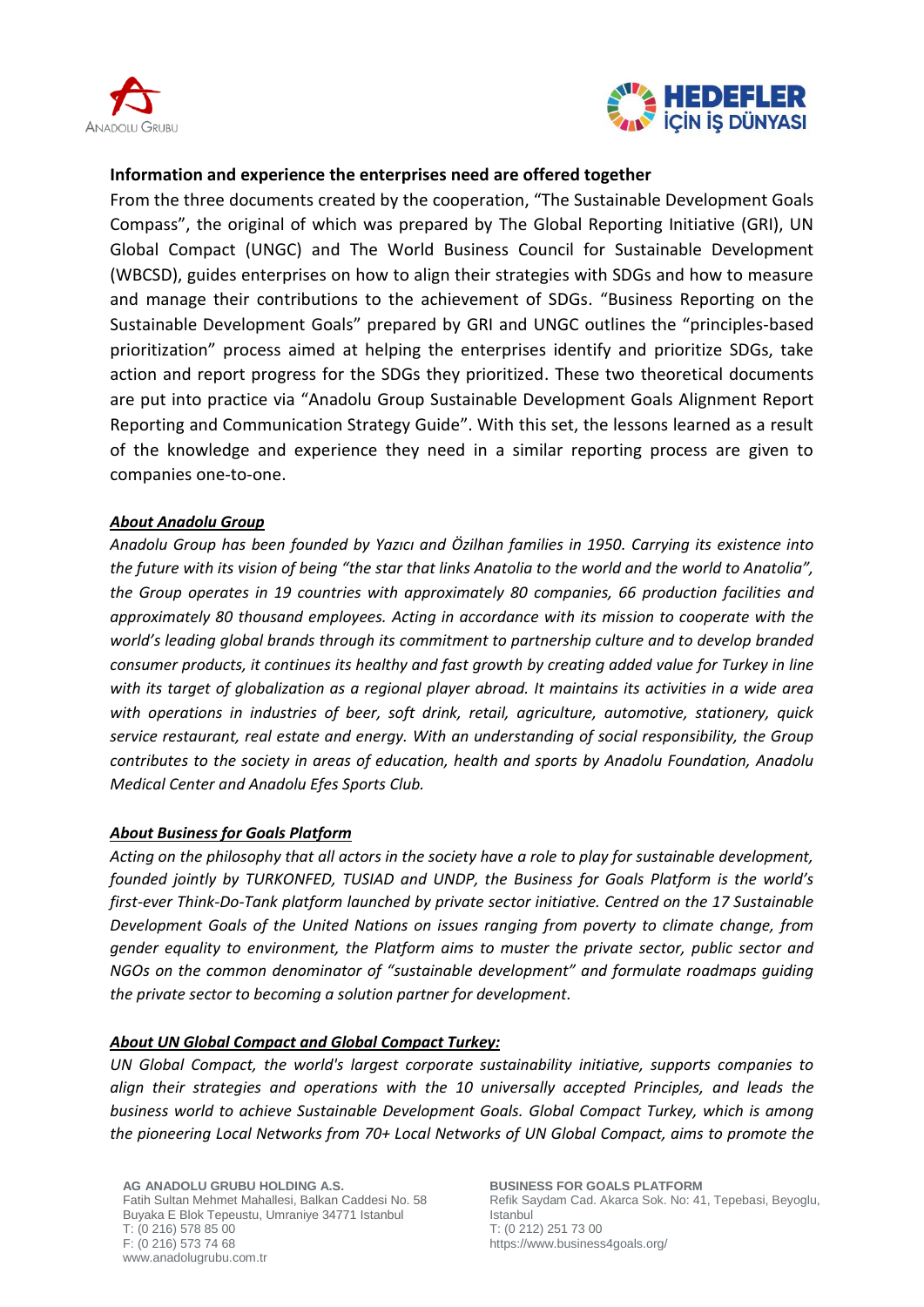



# **Information and experience the enterprises need are offered together**

From the three documents created by the cooperation, "The Sustainable Development Goals Compass", the original of which was prepared by The Global Reporting Initiative (GRI), UN Global Compact (UNGC) and The World Business Council for Sustainable Development (WBCSD), guides enterprises on how to align their strategies with SDGs and how to measure and manage their contributions to the achievement of SDGs. "Business Reporting on the Sustainable Development Goals" prepared by GRI and UNGC outlines the "principles-based prioritization" process aimed at helping the enterprises identify and prioritize SDGs, take action and report progress for the SDGs they prioritized. These two theoretical documents are put into practice via "Anadolu Group Sustainable Development Goals Alignment Report Reporting and Communication Strategy Guide". With this set, the lessons learned as a result of the knowledge and experience they need in a similar reporting process are given to companies one-to-one.

# *About Anadolu Group*

*Anadolu Group has been founded by Yazıcı and Özilhan families in 1950. Carrying its existence into the future with its vision of being "the star that links Anatolia to the world and the world to Anatolia", the Group operates in 19 countries with approximately 80 companies, 66 production facilities and approximately 80 thousand employees. Acting in accordance with its mission to cooperate with the world's leading global brands through its commitment to partnership culture and to develop branded consumer products, it continues its healthy and fast growth by creating added value for Turkey in line with its target of globalization as a regional player abroad. It maintains its activities in a wide area with operations in industries of beer, soft drink, retail, agriculture, automotive, stationery, quick service restaurant, real estate and energy. With an understanding of social responsibility, the Group contributes to the society in areas of education, health and sports by Anadolu Foundation, Anadolu Medical Center and Anadolu Efes Sports Club.*

### *About Business for Goals Platform*

*Acting on the philosophy that all actors in the society have a role to play for sustainable development, founded jointly by TURKONFED, TUSIAD and UNDP, the Business for Goals Platform is the world's first-ever Think-Do-Tank platform launched by private sector initiative. Centred on the 17 Sustainable Development Goals of the United Nations on issues ranging from poverty to climate change, from gender equality to environment, the Platform aims to muster the private sector, public sector and NGOs on the common denominator of "sustainable development" and formulate roadmaps guiding the private sector to becoming a solution partner for development.*

### *About UN Global Compact and Global Compact Turkey:*

*UN Global Compact, the world's largest corporate sustainability initiative, supports companies to align their strategies and operations with the 10 universally accepted Principles, and leads the business world to achieve Sustainable Development Goals. Global Compact Turkey, which is among the pioneering Local Networks from 70+ Local Networks of UN Global Compact, aims to promote the*